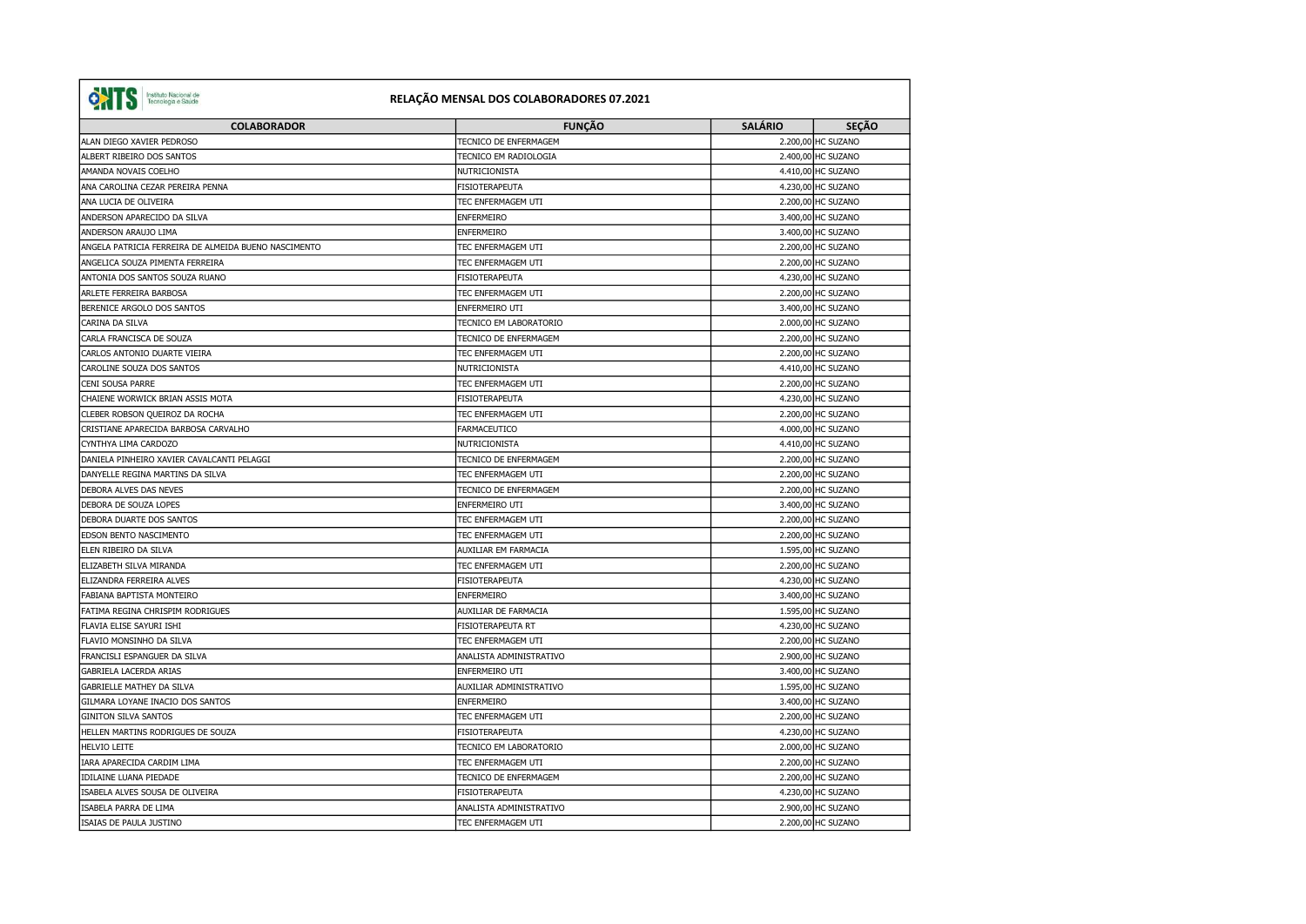| .                                                    |                             |                |                    |
|------------------------------------------------------|-----------------------------|----------------|--------------------|
| <b>COLABORADOR</b>                                   | <b>FUNÇÃO</b>               | <b>SALÁRIO</b> | <b>SEÇÃO</b>       |
| ALAN DIEGO XAVIER PEDROSO                            | TECNICO DE ENFERMAGEM       |                | 2.200,00 HC SUZANO |
| ALBERT RIBEIRO DOS SANTOS                            | TECNICO EM RADIOLOGIA       |                | 2.400,00 HC SUZANO |
| AMANDA NOVAIS COELHO                                 | NUTRICIONISTA               |                | 4.410,00 HC SUZANO |
| ANA CAROLINA CEZAR PEREIRA PENNA                     | <b>FISIOTERAPEUTA</b>       |                | 4.230,00 HC SUZANO |
| IANA LUCIA DE OLIVEIRA                               | TEC ENFERMAGEM UTI          |                | 2.200,00 HC SUZANO |
| ANDERSON APARECIDO DA SILVA                          | <b>ENFERMEIRO</b>           |                | 3.400,00 HC SUZANO |
| ANDERSON ARAUJO LIMA                                 | <b>ENFERMEIRO</b>           |                | 3.400,00 HC SUZANO |
| ANGELA PATRICIA FERREIRA DE ALMEIDA BUENO NASCIMENTO | TEC ENFERMAGEM UTI          |                | 2.200,00 HC SUZANO |
| ANGELICA SOUZA PIMENTA FERREIRA                      | TEC ENFERMAGEM UTI          |                | 2.200,00 HC SUZANO |
| ANTONIA DOS SANTOS SOUZA RUANO                       | <b>FISIOTERAPEUTA</b>       |                | 4.230,00 HC SUZANO |
| ARLETE FERREIRA BARBOSA                              | TEC ENFERMAGEM UTI          |                | 2.200,00 HC SUZANO |
| BERENICE ARGOLO DOS SANTOS                           | <b>ENFERMEIRO UTI</b>       |                | 3.400,00 HC SUZANO |
| CARINA DA SILVA                                      | TECNICO EM LABORATORIO      |                | 2.000,00 HC SUZANO |
| CARLA FRANCISCA DE SOUZA                             | TECNICO DE ENFERMAGEM       |                | 2.200,00 HC SUZANO |
| CARLOS ANTONIO DUARTE VIEIRA                         | TEC ENFERMAGEM UTI          |                | 2.200,00 HC SUZANO |
| CAROLINE SOUZA DOS SANTOS                            | NUTRICIONISTA               |                | 4.410,00 HC SUZANO |
| <b>CENI SOUSA PARRE</b>                              | TEC ENFERMAGEM UTI          |                | 2.200,00 HC SUZANO |
| CHAIENE WORWICK BRIAN ASSIS MOTA                     | <b>FISIOTERAPEUTA</b>       |                | 4.230,00 HC SUZANO |
| CLEBER ROBSON QUEIROZ DA ROCHA                       | TEC ENFERMAGEM UTI          |                | 2.200,00 HC SUZANO |
| ICRISTIANE APARECIDA BARBOSA CARVALHO                | <b>FARMACEUTICO</b>         |                | 4.000,00 HC SUZANO |
| CYNTHYA LIMA CARDOZO                                 | <b>NUTRICIONISTA</b>        |                | 4.410,00 HC SUZANO |
| DANIELA PINHEIRO XAVIER CAVALCANTI PELAGGI           | TECNICO DE ENFERMAGEM       |                | 2.200,00 HC SUZANO |
| DANYELLE REGINA MARTINS DA SILVA                     | TEC ENFERMAGEM UTI          |                | 2.200,00 HC SUZANO |
| <b>DEBORA ALVES DAS NEVES</b>                        | TECNICO DE ENFERMAGEM       |                | 2.200,00 HC SUZANO |
| DEBORA DE SOUZA LOPES                                | <b>ENFERMEIRO UTI</b>       |                | 3.400,00 HC SUZANO |
| DEBORA DUARTE DOS SANTOS                             | TEC ENFERMAGEM UTI          |                | 2.200,00 HC SUZANO |
| <b>EDSON BENTO NASCIMENTO</b>                        | TEC ENFERMAGEM UTI          |                | 2.200,00 HC SUZANO |
| ELEN RIBEIRO DA SILVA                                | <b>AUXILIAR EM FARMACIA</b> |                | 1.595,00 HC SUZANO |
| ELIZABETH SILVA MIRANDA                              | TEC ENFERMAGEM UTI          |                | 2.200,00 HC SUZANO |
| ELIZANDRA FERREIRA ALVES                             | <b>FISIOTERAPEUTA</b>       |                | 4.230,00 HC SUZANO |
| FABIANA BAPTISTA MONTEIRO                            | <b>ENFERMEIRO</b>           |                | 3.400,00 HC SUZANO |
| FATIMA REGINA CHRISPIM RODRIGUES                     | <b>AUXILIAR DE FARMACIA</b> |                | 1.595,00 HC SUZANO |
| FLAVIA ELISE SAYURI ISHI                             | FISIOTERAPEUTA RT           |                | 4.230,00 HC SUZANO |
| FLAVIO MONSINHO DA SILVA                             | TEC ENFERMAGEM UTI          |                | 2.200,00 HC SUZANO |
| FRANCISLI ESPANGUER DA SILVA                         | ANALISTA ADMINISTRATIVO     |                | 2.900,00 HC SUZANO |
| <b>GABRIELA LACERDA ARIAS</b>                        | <b>ENFERMEIRO UTI</b>       |                | 3.400,00 HC SUZANO |
| <b>GABRIELLE MATHEY DA SILVA</b>                     | AUXILIAR ADMINISTRATIVO     |                | 1.595,00 HC SUZANO |
| GILMARA LOYANE INACIO DOS SANTOS                     | <b>ENFERMEIRO</b>           |                | 3.400,00 HC SUZANO |
| <b>GINITON SILVA SANTOS</b>                          | TEC ENFERMAGEM UTI          |                | 2.200,00 HC SUZANO |
| HELLEN MARTINS RODRIGUES DE SOUZA                    | <b>FISIOTERAPEUTA</b>       |                | 4.230,00 HC SUZANO |
| HELVIO LEITE                                         | TECNICO EM LABORATORIO      |                | 2.000,00 HC SUZANO |
| IARA APARECIDA CARDIM LIMA                           | TEC ENFERMAGEM UTI          |                | 2.200,00 HC SUZANO |
| IDILAINE LUANA PIEDADE                               | TECNICO DE ENFERMAGEM       |                | 2.200,00 HC SUZANO |
| ISABELA ALVES SOUSA DE OLIVEIRA                      | <b>FISIOTERAPEUTA</b>       |                | 4.230,00 HC SUZANO |
| ISABELA PARRA DE LIMA                                | ANALISTA ADMINISTRATIVO     |                | 2.900,00 HC SUZANO |
| ISAIAS DE PAULA JUSTINO                              | TEC ENFERMAGEM UTI          |                | 2.200,00 HC SUZANO |



## RELAÇÃO MENSAL DOS COLABORADORES 07.2021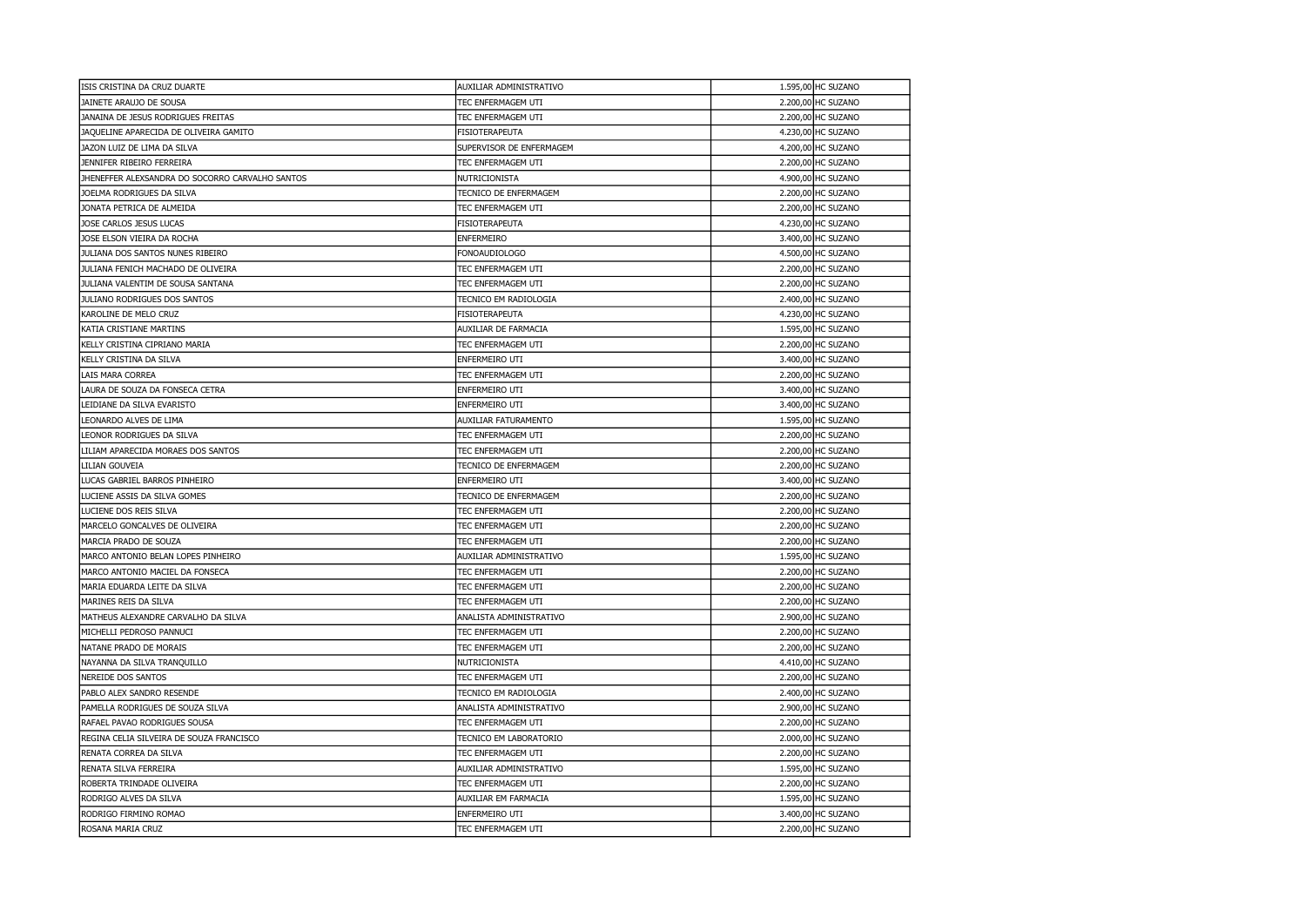| ISIS CRISTINA DA CRUZ DUARTE                    | AUXILIAR ADMINISTRATIVO     | 1.595,00 HC SUZANO |
|-------------------------------------------------|-----------------------------|--------------------|
| JAINETE ARAUJO DE SOUSA                         | TEC ENFERMAGEM UTI          | 2.200,00 HC SUZANO |
| JANAINA DE JESUS RODRIGUES FREITAS              | TEC ENFERMAGEM UTI          | 2.200,00 HC SUZANO |
| JAQUELINE APARECIDA DE OLIVEIRA GAMITO          | <b>FISIOTERAPEUTA</b>       | 4.230,00 HC SUZANO |
| jazon luiz de lima da silva                     | SUPERVISOR DE ENFERMAGEM    | 4.200,00 HC SUZANO |
| JENNIFER RIBEIRO FERREIRA                       | TEC ENFERMAGEM UTI          | 2.200,00 HC SUZANO |
| JHENEFFER ALEXSANDRA DO SOCORRO CARVALHO SANTOS | NUTRICIONISTA               | 4.900,00 HC SUZANO |
| JOELMA RODRIGUES DA SILVA                       | TECNICO DE ENFERMAGEM       | 2.200,00 HC SUZANO |
| JONATA PETRICA DE ALMEIDA                       | TEC ENFERMAGEM UTI          | 2.200,00 HC SUZANO |
| JOSE CARLOS JESUS LUCAS                         | <b>FISIOTERAPEUTA</b>       | 4.230,00 HC SUZANO |
| ijose elson vieira da rocha                     | <b>ENFERMEIRO</b>           | 3.400,00 HC SUZANO |
| JULIANA DOS SANTOS NUNES RIBEIRO                | <b>FONOAUDIOLOGO</b>        | 4.500,00 HC SUZANO |
| JULIANA FENICH MACHADO DE OLIVEIRA              | TEC ENFERMAGEM UTI          | 2.200,00 HC SUZANO |
| JULIANA VALENTIM DE SOUSA SANTANA               | TEC ENFERMAGEM UTI          | 2.200,00 HC SUZANO |
| JULIANO RODRIGUES DOS SANTOS                    | TECNICO EM RADIOLOGIA       | 2.400,00 HC SUZANO |
| KAROLINE DE MELO CRUZ                           | <b>FISIOTERAPEUTA</b>       | 4.230,00 HC SUZANO |
| KATIA CRISTIANE MARTINS                         | <b>AUXILIAR DE FARMACIA</b> | 1.595,00 HC SUZANO |
| KELLY CRISTINA CIPRIANO MARIA                   | TEC ENFERMAGEM UTI          | 2.200,00 HC SUZANO |
| KELLY CRISTINA DA SILVA                         | <b>ENFERMEIRO UTI</b>       | 3.400,00 HC SUZANO |
| LAIS MARA CORREA                                | TEC ENFERMAGEM UTI          | 2.200,00 HC SUZANO |
| LAURA DE SOUZA DA FONSECA CETRA                 | enfermeiro uti              | 3.400,00 HC SUZANO |
| LEIDIANE DA SILVA EVARISTO                      | <b>ENFERMEIRO UTI</b>       | 3.400,00 HC SUZANO |
| LEONARDO ALVES DE LIMA                          | <b>AUXILIAR FATURAMENTO</b> | 1.595,00 HC SUZANO |
| LEONOR RODRIGUES DA SILVA                       | TEC ENFERMAGEM UTI          | 2.200,00 HC SUZANO |
| LILIAM APARECIDA MORAES DOS SANTOS              | TEC ENFERMAGEM UTI          | 2.200,00 HC SUZANO |
| LILIAN GOUVEIA                                  | TECNICO DE ENFERMAGEM       | 2.200,00 HC SUZANO |
| LUCAS GABRIEL BARROS PINHEIRO                   | <b>ENFERMEIRO UTI</b>       | 3.400,00 HC SUZANO |
| LUCIENE ASSIS DA SILVA GOMES                    | TECNICO DE ENFERMAGEM       | 2.200,00 HC SUZANO |
| LUCIENE DOS REIS SILVA                          | TEC ENFERMAGEM UTI          | 2.200,00 HC SUZANO |
| MARCELO GONCALVES DE OLIVEIRA                   | TEC ENFERMAGEM UTI          | 2.200,00 HC SUZANO |
| MARCIA PRADO DE SOUZA                           | TEC ENFERMAGEM UTI          | 2.200,00 HC SUZANO |
| MARCO ANTONIO BELAN LOPES PINHEIRO              | AUXILIAR ADMINISTRATIVO     | 1.595,00 HC SUZANO |
| MARCO ANTONIO MACIEL DA FONSECA                 | TEC ENFERMAGEM UTI          | 2.200,00 HC SUZANO |
| MARIA EDUARDA LEITE DA SILVA                    | TEC ENFERMAGEM UTI          | 2.200,00 HC SUZANO |
| MARINES REIS DA SILVA                           | TEC ENFERMAGEM UTI          | 2.200,00 HC SUZANO |
| MATHEUS ALEXANDRE CARVALHO DA SILVA             | ANALISTA ADMINISTRATIVO     | 2.900,00 HC SUZANO |
| MICHELLI PEDROSO PANNUCI                        | TEC ENFERMAGEM UTI          | 2.200,00 HC SUZANO |
| NATANE PRADO DE MORAIS                          | TEC ENFERMAGEM UTI          | 2.200,00 HC SUZANO |
| NAYANNA DA SILVA TRANQUILLO                     | NUTRICIONISTA               | 4.410,00 HC SUZANO |
| NEREIDE DOS SANTOS                              | TEC ENFERMAGEM UTI          | 2.200,00 HC SUZANO |
| PABLO ALEX SANDRO RESENDE                       | TECNICO EM RADIOLOGIA       | 2.400,00 HC SUZANO |
| PAMELLA RODRIGUES DE SOUZA SILVA                | ANALISTA ADMINISTRATIVO     | 2.900,00 HC SUZANO |
| RAFAEL PAVAO RODRIGUES SOUSA                    | TEC ENFERMAGEM UTI          | 2.200,00 HC SUZANO |
| REGINA CELIA SILVEIRA DE SOUZA FRANCISCO        | TECNICO EM LABORATORIO      | 2.000,00 HC SUZANO |
| RENATA CORREA DA SILVA                          | TEC ENFERMAGEM UTI          | 2.200,00 HC SUZANO |
| RENATA SILVA FERREIRA                           | AUXILIAR ADMINISTRATIVO     | 1.595,00 HC SUZANO |
| ROBERTA TRINDADE OLIVEIRA                       | TEC ENFERMAGEM UTI          | 2.200,00 HC SUZANO |
| RODRIGO ALVES DA SILVA                          | AUXILIAR EM FARMACIA        | 1.595,00 HC SUZANO |
| RODRIGO FIRMINO ROMAO                           | <b>ENFERMEIRO UTI</b>       | 3.400,00 HC SUZANO |
| ROSANA MARIA CRUZ                               | TEC ENFERMAGEM UTI          | 2.200,00 HC SUZANO |